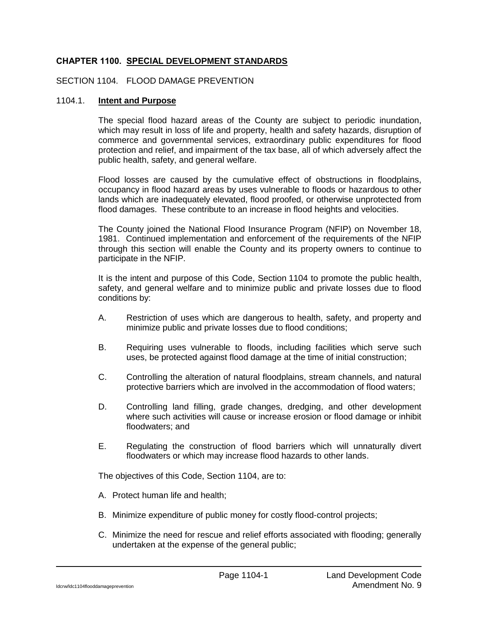## **CHAPTER 1100. SPECIAL DEVELOPMENT STANDARDS**

## SECTION 1104. FLOOD DAMAGE PREVENTION

#### 1104.1. **Intent and Purpose**

The special flood hazard areas of the County are subject to periodic inundation, which may result in loss of life and property, health and safety hazards, disruption of commerce and governmental services, extraordinary public expenditures for flood protection and relief, and impairment of the tax base, all of which adversely affect the public health, safety, and general welfare.

Flood losses are caused by the cumulative effect of obstructions in floodplains, occupancy in flood hazard areas by uses vulnerable to floods or hazardous to other lands which are inadequately elevated, flood proofed, or otherwise unprotected from flood damages. These contribute to an increase in flood heights and velocities.

The County joined the National Flood Insurance Program (NFIP) on November 18, 1981. Continued implementation and enforcement of the requirements of the NFIP through this section will enable the County and its property owners to continue to participate in the NFIP.

It is the intent and purpose of this Code, Section 1104 to promote the public health, safety, and general welfare and to minimize public and private losses due to flood conditions by:

- A. Restriction of uses which are dangerous to health, safety, and property and minimize public and private losses due to flood conditions;
- B. Requiring uses vulnerable to floods, including facilities which serve such uses, be protected against flood damage at the time of initial construction;
- C. Controlling the alteration of natural floodplains, stream channels, and natural protective barriers which are involved in the accommodation of flood waters;
- D. Controlling land filling, grade changes, dredging, and other development where such activities will cause or increase erosion or flood damage or inhibit floodwaters; and
- E. Regulating the construction of flood barriers which will unnaturally divert floodwaters or which may increase flood hazards to other lands.

The objectives of this Code, Section 1104, are to:

- A. Protect human life and health;
- B. Minimize expenditure of public money for costly flood-control projects;
- C. Minimize the need for rescue and relief efforts associated with flooding; generally undertaken at the expense of the general public;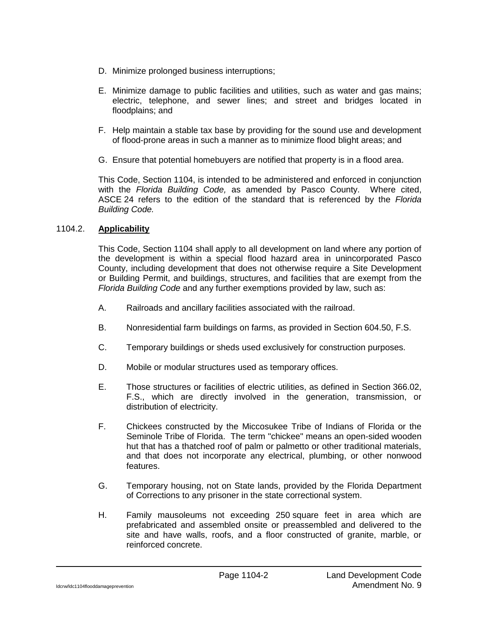- D. Minimize prolonged business interruptions;
- E. Minimize damage to public facilities and utilities, such as water and gas mains; electric, telephone, and sewer lines; and street and bridges located in floodplains; and
- F. Help maintain a stable tax base by providing for the sound use and development of flood-prone areas in such a manner as to minimize flood blight areas; and
- G. Ensure that potential homebuyers are notified that property is in a flood area.

This Code, Section 1104, is intended to be administered and enforced in conjunction with the *Florida Building Code,* as amended by Pasco County. Where cited, ASCE 24 refers to the edition of the standard that is referenced by the *Florida Building Code.*

### 1104.2. **Applicability**

This Code, Section 1104 shall apply to all development on land where any portion of the development is within a special flood hazard area in unincorporated Pasco County, including development that does not otherwise require a Site Development or Building Permit, and buildings, structures, and facilities that are exempt from the *Florida Building Code* and any further exemptions provided by law, such as:

- A. Railroads and ancillary facilities associated with the railroad.
- B. Nonresidential farm buildings on farms, as provided in Section 604.50, F.S.
- C. Temporary buildings or sheds used exclusively for construction purposes.
- D. Mobile or modular structures used as temporary offices.
- E. Those structures or facilities of electric utilities, as defined in Section 366.02, F.S., which are directly involved in the generation, transmission, or distribution of electricity.
- F. Chickees constructed by the Miccosukee Tribe of Indians of Florida or the Seminole Tribe of Florida. The term "chickee" means an open-sided wooden hut that has a thatched roof of palm or palmetto or other traditional materials, and that does not incorporate any electrical, plumbing, or other nonwood features.
- G. Temporary housing, not on State lands, provided by the Florida Department of Corrections to any prisoner in the state correctional system.
- H. Family mausoleums not exceeding 250 square feet in area which are prefabricated and assembled onsite or preassembled and delivered to the site and have walls, roofs, and a floor constructed of granite, marble, or reinforced concrete.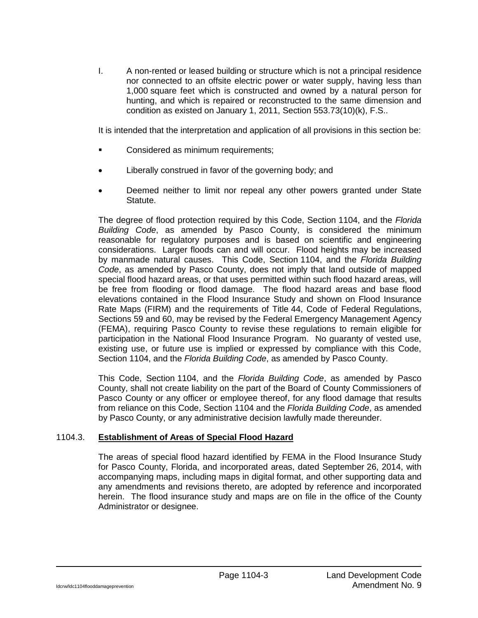I. A non-rented or leased building or structure which is not a principal residence nor connected to an offsite electric power or water supply, having less than 1,000 square feet which is constructed and owned by a natural person for hunting, and which is repaired or reconstructed to the same dimension and condition as existed on January 1, 2011, Section 553.73(10)(k), F.S..

It is intended that the interpretation and application of all provisions in this section be:

- **EXECONS** Considered as minimum requirements;
- Liberally construed in favor of the governing body; and
- Deemed neither to limit nor repeal any other powers granted under State Statute.

The degree of flood protection required by this Code, Section 1104, and the *Florida Building Code*, as amended by Pasco County, is considered the minimum reasonable for regulatory purposes and is based on scientific and engineering considerations. Larger floods can and will occur. Flood heights may be increased by manmade natural causes. This Code, Section 1104, and the *Florida Building Code*, as amended by Pasco County, does not imply that land outside of mapped special flood hazard areas, or that uses permitted within such flood hazard areas, will be free from flooding or flood damage. The flood hazard areas and base flood elevations contained in the Flood Insurance Study and shown on Flood Insurance Rate Maps (FIRM) and the requirements of Title 44, Code of Federal Regulations, Sections 59 and 60, may be revised by the Federal Emergency Management Agency (FEMA), requiring Pasco County to revise these regulations to remain eligible for participation in the National Flood Insurance Program. No guaranty of vested use, existing use, or future use is implied or expressed by compliance with this Code, Section 1104, and the *Florida Building Code*, as amended by Pasco County.

This Code, Section 1104, and the *Florida Building Code*, as amended by Pasco County, shall not create liability on the part of the Board of County Commissioners of Pasco County or any officer or employee thereof, for any flood damage that results from reliance on this Code, Section 1104 and the *Florida Building Code*, as amended by Pasco County, or any administrative decision lawfully made thereunder.

## 1104.3. **Establishment of Areas of Special Flood Hazard**

The areas of special flood hazard identified by FEMA in the Flood Insurance Study for Pasco County, Florida, and incorporated areas, dated September 26, 2014, with accompanying maps, including maps in digital format, and other supporting data and any amendments and revisions thereto, are adopted by reference and incorporated herein. The flood insurance study and maps are on file in the office of the County Administrator or designee.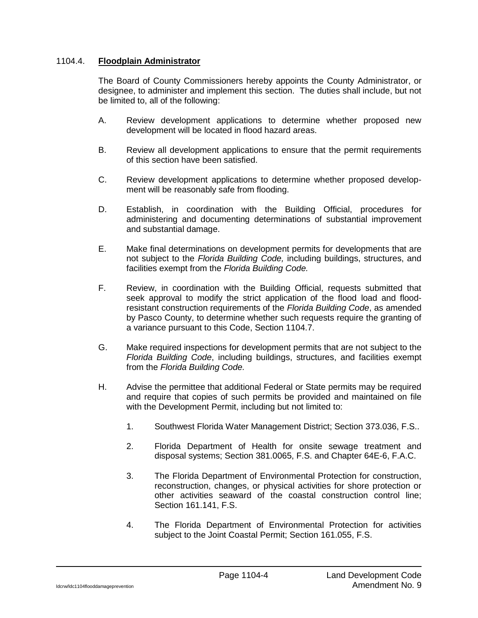## 1104.4. **Floodplain Administrator**

The Board of County Commissioners hereby appoints the County Administrator, or designee, to administer and implement this section. The duties shall include, but not be limited to, all of the following:

- A. Review development applications to determine whether proposed new development will be located in flood hazard areas.
- B. Review all development applications to ensure that the permit requirements of this section have been satisfied.
- C. Review development applications to determine whether proposed development will be reasonably safe from flooding.
- D. Establish, in coordination with the Building Official, procedures for administering and documenting determinations of substantial improvement and substantial damage.
- E. Make final determinations on development permits for developments that are not subject to the *Florida Building Code,* including buildings, structures, and facilities exempt from the *Florida Building Code.*
- F. Review, in coordination with the Building Official, requests submitted that seek approval to modify the strict application of the flood load and floodresistant construction requirements of the *Florida Building Code*, as amended by Pasco County, to determine whether such requests require the granting of a variance pursuant to this Code, Section 1104.7.
- G. Make required inspections for development permits that are not subject to the *Florida Building Code*, including buildings, structures, and facilities exempt from the *Florida Building Code.*
- H. Advise the permittee that additional Federal or State permits may be required and require that copies of such permits be provided and maintained on file with the Development Permit, including but not limited to:
	- 1. Southwest Florida Water Management District; Section 373.036, F.S..
	- 2. Florida Department of Health for onsite sewage treatment and disposal systems; Section 381.0065, F.S. and Chapter 64E-6, F.A.C.
	- 3. The Florida Department of Environmental Protection for construction, reconstruction, changes, or physical activities for shore protection or other activities seaward of the coastal construction control line; Section 161.141, F.S.
	- 4. The Florida Department of Environmental Protection for activities subject to the Joint Coastal Permit; Section 161.055, F.S.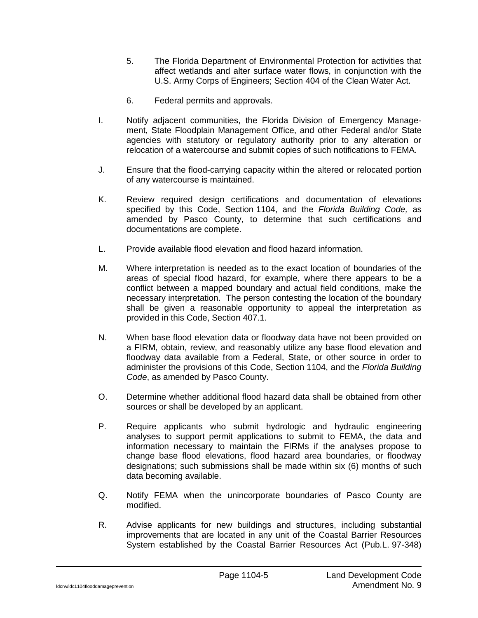- 5. The Florida Department of Environmental Protection for activities that affect wetlands and alter surface water flows, in conjunction with the U.S. Army Corps of Engineers; Section 404 of the Clean Water Act.
- 6. Federal permits and approvals.
- I. Notify adjacent communities, the Florida Division of Emergency Management, State Floodplain Management Office, and other Federal and/or State agencies with statutory or regulatory authority prior to any alteration or relocation of a watercourse and submit copies of such notifications to FEMA.
- J. Ensure that the flood-carrying capacity within the altered or relocated portion of any watercourse is maintained.
- K. Review required design certifications and documentation of elevations specified by this Code, Section 1104, and the *Florida Building Code,* as amended by Pasco County, to determine that such certifications and documentations are complete.
- L. Provide available flood elevation and flood hazard information.
- M. Where interpretation is needed as to the exact location of boundaries of the areas of special flood hazard, for example, where there appears to be a conflict between a mapped boundary and actual field conditions, make the necessary interpretation. The person contesting the location of the boundary shall be given a reasonable opportunity to appeal the interpretation as provided in this Code, Section 407.1.
- N. When base flood elevation data or floodway data have not been provided on a FIRM, obtain, review, and reasonably utilize any base flood elevation and floodway data available from a Federal, State, or other source in order to administer the provisions of this Code, Section 1104, and the *Florida Building Code*, as amended by Pasco County.
- O. Determine whether additional flood hazard data shall be obtained from other sources or shall be developed by an applicant.
- P. Require applicants who submit hydrologic and hydraulic engineering analyses to support permit applications to submit to FEMA, the data and information necessary to maintain the FIRMs if the analyses propose to change base flood elevations, flood hazard area boundaries, or floodway designations; such submissions shall be made within six (6) months of such data becoming available.
- Q. Notify FEMA when the unincorporate boundaries of Pasco County are modified.
- R. Advise applicants for new buildings and structures, including substantial improvements that are located in any unit of the Coastal Barrier Resources System established by the Coastal Barrier Resources Act (Pub.L. 97-348)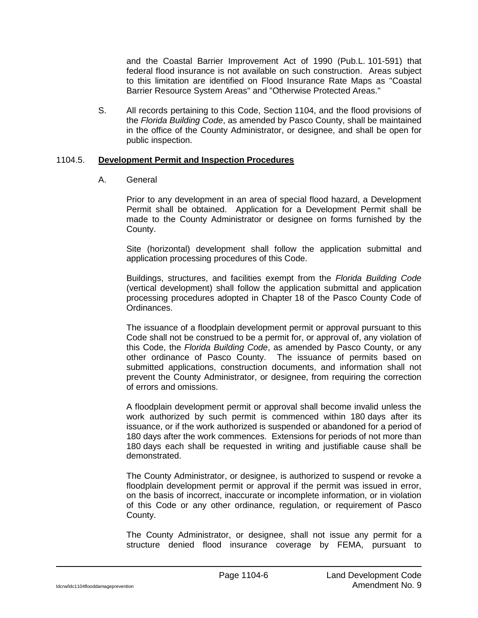and the Coastal Barrier Improvement Act of 1990 (Pub.L. 101-591) that federal flood insurance is not available on such construction. Areas subject to this limitation are identified on Flood Insurance Rate Maps as "Coastal Barrier Resource System Areas" and "Otherwise Protected Areas."

S. All records pertaining to this Code, Section 1104, and the flood provisions of the *Florida Building Code*, as amended by Pasco County, shall be maintained in the office of the County Administrator, or designee, and shall be open for public inspection.

### 1104.5. **Development Permit and Inspection Procedures**

## A. General

Prior to any development in an area of special flood hazard, a Development Permit shall be obtained. Application for a Development Permit shall be made to the County Administrator or designee on forms furnished by the County.

Site (horizontal) development shall follow the application submittal and application processing procedures of this Code.

Buildings, structures, and facilities exempt from the *Florida Building Code* (vertical development) shall follow the application submittal and application processing procedures adopted in Chapter 18 of the Pasco County Code of Ordinances.

The issuance of a floodplain development permit or approval pursuant to this Code shall not be construed to be a permit for, or approval of, any violation of this Code, the *Florida Building Code*, as amended by Pasco County, or any other ordinance of Pasco County. The issuance of permits based on submitted applications, construction documents, and information shall not prevent the County Administrator, or designee, from requiring the correction of errors and omissions.

A floodplain development permit or approval shall become invalid unless the work authorized by such permit is commenced within 180 days after its issuance, or if the work authorized is suspended or abandoned for a period of 180 days after the work commences. Extensions for periods of not more than 180 days each shall be requested in writing and justifiable cause shall be demonstrated.

The County Administrator, or designee, is authorized to suspend or revoke a floodplain development permit or approval if the permit was issued in error, on the basis of incorrect, inaccurate or incomplete information, or in violation of this Code or any other ordinance, regulation, or requirement of Pasco County.

The County Administrator, or designee, shall not issue any permit for a structure denied flood insurance coverage by FEMA, pursuant to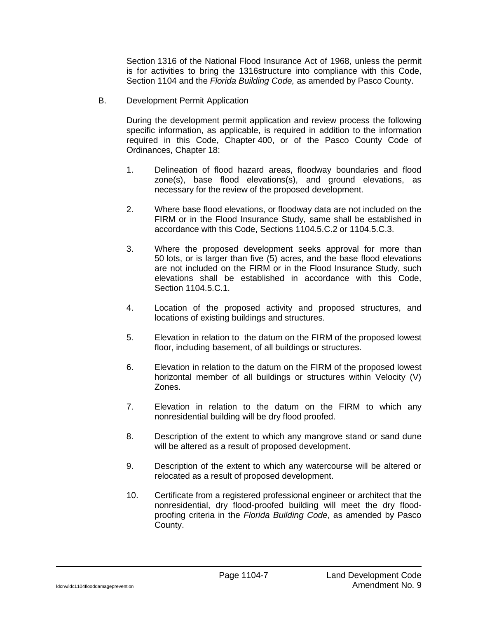Section 1316 of the National Flood Insurance Act of 1968, unless the permit is for activities to bring the 1316structure into compliance with this Code, Section 1104 and the *Florida Building Code,* as amended by Pasco County.

B. Development Permit Application

During the development permit application and review process the following specific information, as applicable, is required in addition to the information required in this Code, Chapter 400, or of the Pasco County Code of Ordinances, Chapter 18:

- 1. Delineation of flood hazard areas, floodway boundaries and flood zone(s), base flood elevations(s), and ground elevations, as necessary for the review of the proposed development.
- 2. Where base flood elevations, or floodway data are not included on the FIRM or in the Flood Insurance Study, same shall be established in accordance with this Code, Sections 1104.5.C.2 or 1104.5.C.3.
- 3. Where the proposed development seeks approval for more than 50 lots, or is larger than five (5) acres, and the base flood elevations are not included on the FIRM or in the Flood Insurance Study, such elevations shall be established in accordance with this Code, Section 1104.5.C.1.
- 4. Location of the proposed activity and proposed structures, and locations of existing buildings and structures.
- 5. Elevation in relation to the datum on the FIRM of the proposed lowest floor, including basement, of all buildings or structures.
- 6. Elevation in relation to the datum on the FIRM of the proposed lowest horizontal member of all buildings or structures within Velocity (V) Zones.
- 7. Elevation in relation to the datum on the FIRM to which any nonresidential building will be dry flood proofed.
- 8. Description of the extent to which any mangrove stand or sand dune will be altered as a result of proposed development.
- 9. Description of the extent to which any watercourse will be altered or relocated as a result of proposed development.
- 10. Certificate from a registered professional engineer or architect that the nonresidential, dry flood-proofed building will meet the dry floodproofing criteria in the *Florida Building Code*, as amended by Pasco County.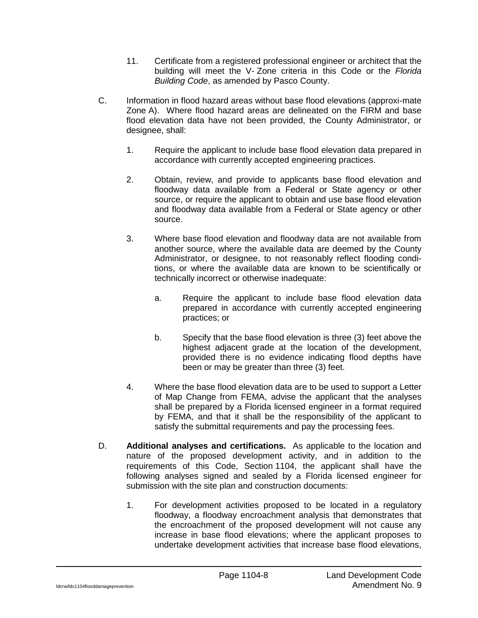- 11. Certificate from a registered professional engineer or architect that the building will meet the V- Zone criteria in this Code or the *Florida Building Code*, as amended by Pasco County.
- C. Information in flood hazard areas without base flood elevations (approxi-mate Zone A). Where flood hazard areas are delineated on the FIRM and base flood elevation data have not been provided, the County Administrator, or designee, shall:
	- 1. Require the applicant to include base flood elevation data prepared in accordance with currently accepted engineering practices.
	- 2. Obtain, review, and provide to applicants base flood elevation and floodway data available from a Federal or State agency or other source, or require the applicant to obtain and use base flood elevation and floodway data available from a Federal or State agency or other source.
	- 3. Where base flood elevation and floodway data are not available from another source, where the available data are deemed by the County Administrator, or designee, to not reasonably reflect flooding conditions, or where the available data are known to be scientifically or technically incorrect or otherwise inadequate:
		- a. Require the applicant to include base flood elevation data prepared in accordance with currently accepted engineering practices; or
		- b. Specify that the base flood elevation is three (3) feet above the highest adjacent grade at the location of the development, provided there is no evidence indicating flood depths have been or may be greater than three (3) feet.
	- 4. Where the base flood elevation data are to be used to support a Letter of Map Change from FEMA, advise the applicant that the analyses shall be prepared by a Florida licensed engineer in a format required by FEMA, and that it shall be the responsibility of the applicant to satisfy the submittal requirements and pay the processing fees.
- D. **Additional analyses and certifications.** As applicable to the location and nature of the proposed development activity, and in addition to the requirements of this Code, Section 1104, the applicant shall have the following analyses signed and sealed by a Florida licensed engineer for submission with the site plan and construction documents:
	- 1. For development activities proposed to be located in a regulatory floodway, a floodway encroachment analysis that demonstrates that the encroachment of the proposed development will not cause any increase in base flood elevations; where the applicant proposes to undertake development activities that increase base flood elevations,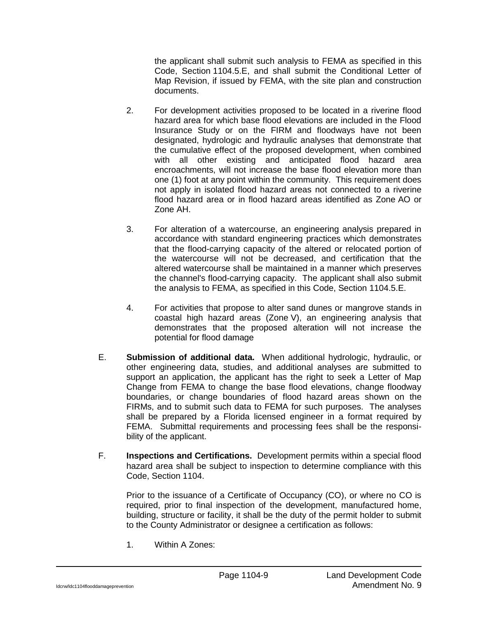the applicant shall submit such analysis to FEMA as specified in this Code, Section 1104.5.E, and shall submit the Conditional Letter of Map Revision, if issued by FEMA, with the site plan and construction documents.

- 2. For development activities proposed to be located in a riverine flood hazard area for which base flood elevations are included in the Flood Insurance Study or on the FIRM and floodways have not been designated, hydrologic and hydraulic analyses that demonstrate that the cumulative effect of the proposed development, when combined with all other existing and anticipated flood hazard area encroachments, will not increase the base flood elevation more than one (1) foot at any point within the community. This requirement does not apply in isolated flood hazard areas not connected to a riverine flood hazard area or in flood hazard areas identified as Zone AO or Zone AH.
- 3. For alteration of a watercourse, an engineering analysis prepared in accordance with standard engineering practices which demonstrates that the flood-carrying capacity of the altered or relocated portion of the watercourse will not be decreased, and certification that the altered watercourse shall be maintained in a manner which preserves the channel's flood-carrying capacity. The applicant shall also submit the analysis to FEMA, as specified in this Code, Section 1104.5.E.
- 4. For activities that propose to alter sand dunes or mangrove stands in coastal high hazard areas (Zone V), an engineering analysis that demonstrates that the proposed alteration will not increase the potential for flood damage
- E. **Submission of additional data.** When additional hydrologic, hydraulic, or other engineering data, studies, and additional analyses are submitted to support an application, the applicant has the right to seek a Letter of Map Change from FEMA to change the base flood elevations, change floodway boundaries, or change boundaries of flood hazard areas shown on the FIRMs, and to submit such data to FEMA for such purposes. The analyses shall be prepared by a Florida licensed engineer in a format required by FEMA. Submittal requirements and processing fees shall be the responsibility of the applicant.
- F. **Inspections and Certifications.** Development permits within a special flood hazard area shall be subject to inspection to determine compliance with this Code, Section 1104.

Prior to the issuance of a Certificate of Occupancy (CO), or where no CO is required, prior to final inspection of the development, manufactured home, building, structure or facility, it shall be the duty of the permit holder to submit to the County Administrator or designee a certification as follows:

1. Within A Zones: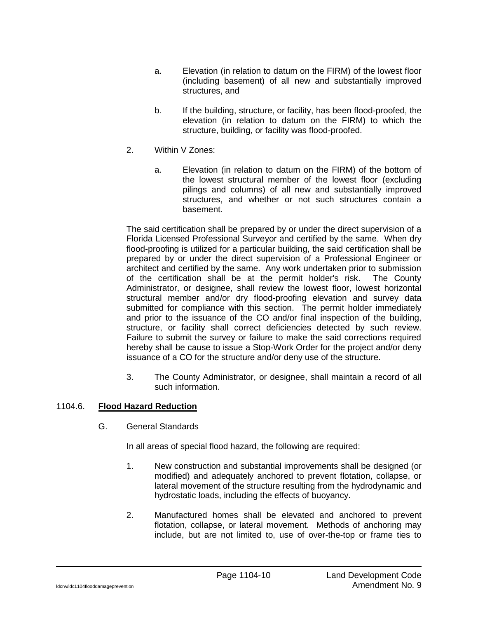- a. Elevation (in relation to datum on the FIRM) of the lowest floor (including basement) of all new and substantially improved structures, and
- b. If the building, structure, or facility, has been flood-proofed, the elevation (in relation to datum on the FIRM) to which the structure, building, or facility was flood-proofed.
- 2. Within V Zones:
	- a. Elevation (in relation to datum on the FIRM) of the bottom of the lowest structural member of the lowest floor (excluding pilings and columns) of all new and substantially improved structures, and whether or not such structures contain a basement.

The said certification shall be prepared by or under the direct supervision of a Florida Licensed Professional Surveyor and certified by the same. When dry flood-proofing is utilized for a particular building, the said certification shall be prepared by or under the direct supervision of a Professional Engineer or architect and certified by the same. Any work undertaken prior to submission of the certification shall be at the permit holder's risk. The County Administrator, or designee, shall review the lowest floor, lowest horizontal structural member and/or dry flood-proofing elevation and survey data submitted for compliance with this section. The permit holder immediately and prior to the issuance of the CO and/or final inspection of the building, structure, or facility shall correct deficiencies detected by such review. Failure to submit the survey or failure to make the said corrections required hereby shall be cause to issue a Stop-Work Order for the project and/or deny issuance of a CO for the structure and/or deny use of the structure.

3. The County Administrator, or designee, shall maintain a record of all such information.

# 1104.6. **Flood Hazard Reduction**

G. General Standards

In all areas of special flood hazard, the following are required:

- 1. New construction and substantial improvements shall be designed (or modified) and adequately anchored to prevent flotation, collapse, or lateral movement of the structure resulting from the hydrodynamic and hydrostatic loads, including the effects of buoyancy.
- 2. Manufactured homes shall be elevated and anchored to prevent flotation, collapse, or lateral movement. Methods of anchoring may include, but are not limited to, use of over-the-top or frame ties to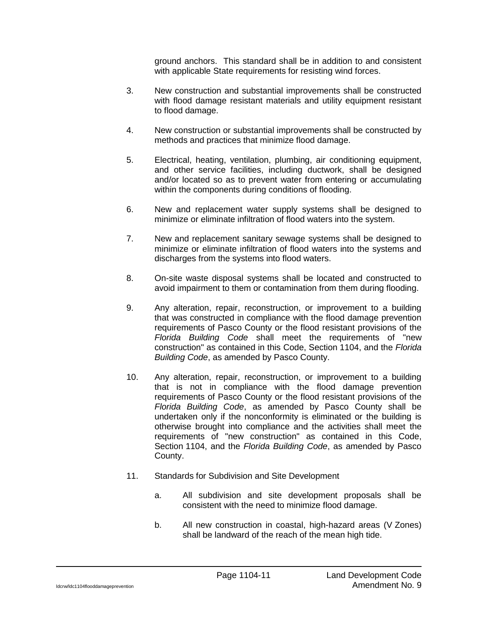ground anchors. This standard shall be in addition to and consistent with applicable State requirements for resisting wind forces.

- 3. New construction and substantial improvements shall be constructed with flood damage resistant materials and utility equipment resistant to flood damage.
- 4. New construction or substantial improvements shall be constructed by methods and practices that minimize flood damage.
- 5. Electrical, heating, ventilation, plumbing, air conditioning equipment, and other service facilities, including ductwork, shall be designed and/or located so as to prevent water from entering or accumulating within the components during conditions of flooding.
- 6. New and replacement water supply systems shall be designed to minimize or eliminate infiltration of flood waters into the system.
- 7. New and replacement sanitary sewage systems shall be designed to minimize or eliminate infiltration of flood waters into the systems and discharges from the systems into flood waters.
- 8. On-site waste disposal systems shall be located and constructed to avoid impairment to them or contamination from them during flooding.
- 9. Any alteration, repair, reconstruction, or improvement to a building that was constructed in compliance with the flood damage prevention requirements of Pasco County or the flood resistant provisions of the *Florida Building Code* shall meet the requirements of "new construction" as contained in this Code, Section 1104, and the *Florida Building Code*, as amended by Pasco County.
- 10. Any alteration, repair, reconstruction, or improvement to a building that is not in compliance with the flood damage prevention requirements of Pasco County or the flood resistant provisions of the *Florida Building Code*, as amended by Pasco County shall be undertaken only if the nonconformity is eliminated or the building is otherwise brought into compliance and the activities shall meet the requirements of "new construction" as contained in this Code, Section 1104, and the *Florida Building Code*, as amended by Pasco County.
- 11. Standards for Subdivision and Site Development
	- a. All subdivision and site development proposals shall be consistent with the need to minimize flood damage.
	- b. All new construction in coastal, high-hazard areas (V Zones) shall be landward of the reach of the mean high tide.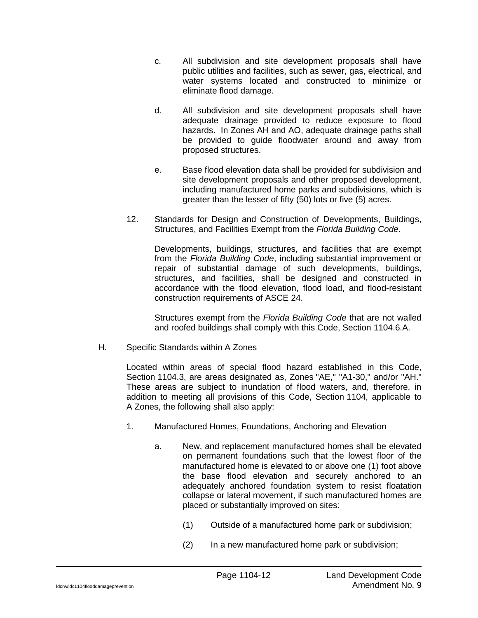- c. All subdivision and site development proposals shall have public utilities and facilities, such as sewer, gas, electrical, and water systems located and constructed to minimize or eliminate flood damage.
- d. All subdivision and site development proposals shall have adequate drainage provided to reduce exposure to flood hazards. In Zones AH and AO, adequate drainage paths shall be provided to guide floodwater around and away from proposed structures.
- e. Base flood elevation data shall be provided for subdivision and site development proposals and other proposed development, including manufactured home parks and subdivisions, which is greater than the lesser of fifty (50) lots or five (5) acres.
- 12. Standards for Design and Construction of Developments, Buildings, Structures, and Facilities Exempt from the *Florida Building Code.*

Developments, buildings, structures, and facilities that are exempt from the *Florida Building Code*, including substantial improvement or repair of substantial damage of such developments, buildings, structures, and facilities, shall be designed and constructed in accordance with the flood elevation, flood load, and flood-resistant construction requirements of ASCE 24.

Structures exempt from the *Florida Building Code* that are not walled and roofed buildings shall comply with this Code, Section 1104.6.A.

H. Specific Standards within A Zones

Located within areas of special flood hazard established in this Code, Section 1104.3, are areas designated as, Zones "AE," "A1-30," and/or "AH." These areas are subject to inundation of flood waters, and, therefore, in addition to meeting all provisions of this Code, Section 1104, applicable to A Zones, the following shall also apply:

- 1. Manufactured Homes, Foundations, Anchoring and Elevation
	- a. New, and replacement manufactured homes shall be elevated on permanent foundations such that the lowest floor of the manufactured home is elevated to or above one (1) foot above the base flood elevation and securely anchored to an adequately anchored foundation system to resist floatation collapse or lateral movement, if such manufactured homes are placed or substantially improved on sites:
		- (1) Outside of a manufactured home park or subdivision;
		- (2) In a new manufactured home park or subdivision;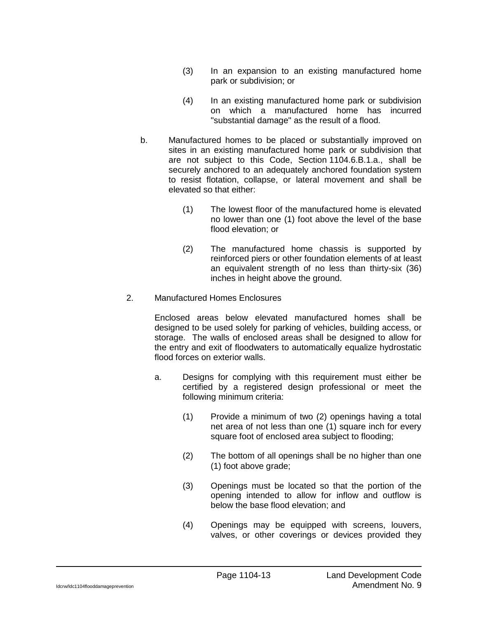- (3) In an expansion to an existing manufactured home park or subdivision; or
- (4) In an existing manufactured home park or subdivision on which a manufactured home has incurred "substantial damage" as the result of a flood.
- b. Manufactured homes to be placed or substantially improved on sites in an existing manufactured home park or subdivision that are not subject to this Code, Section 1104.6.B.1.a., shall be securely anchored to an adequately anchored foundation system to resist flotation, collapse, or lateral movement and shall be elevated so that either:
	- (1) The lowest floor of the manufactured home is elevated no lower than one (1) foot above the level of the base flood elevation; or
	- (2) The manufactured home chassis is supported by reinforced piers or other foundation elements of at least an equivalent strength of no less than thirty-six (36) inches in height above the ground.
- 2. Manufactured Homes Enclosures

Enclosed areas below elevated manufactured homes shall be designed to be used solely for parking of vehicles, building access, or storage. The walls of enclosed areas shall be designed to allow for the entry and exit of floodwaters to automatically equalize hydrostatic flood forces on exterior walls.

- a. Designs for complying with this requirement must either be certified by a registered design professional or meet the following minimum criteria:
	- (1) Provide a minimum of two (2) openings having a total net area of not less than one (1) square inch for every square foot of enclosed area subject to flooding;
	- (2) The bottom of all openings shall be no higher than one (1) foot above grade;
	- (3) Openings must be located so that the portion of the opening intended to allow for inflow and outflow is below the base flood elevation; and
	- (4) Openings may be equipped with screens, louvers, valves, or other coverings or devices provided they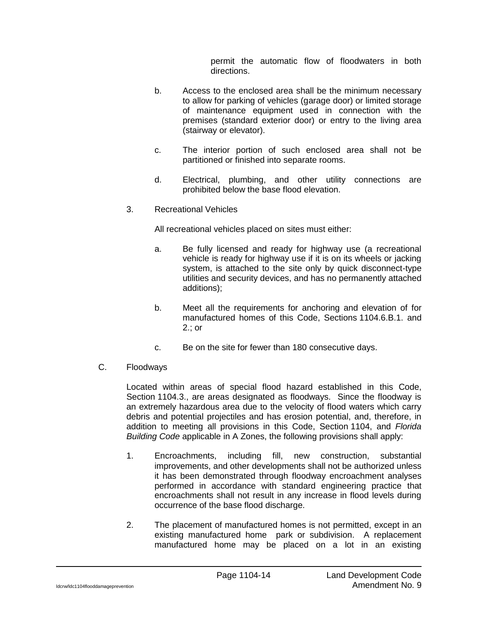permit the automatic flow of floodwaters in both directions.

- b. Access to the enclosed area shall be the minimum necessary to allow for parking of vehicles (garage door) or limited storage of maintenance equipment used in connection with the premises (standard exterior door) or entry to the living area (stairway or elevator).
- c. The interior portion of such enclosed area shall not be partitioned or finished into separate rooms.
- d. Electrical, plumbing, and other utility connections are prohibited below the base flood elevation.
- 3. Recreational Vehicles

All recreational vehicles placed on sites must either:

- a. Be fully licensed and ready for highway use (a recreational vehicle is ready for highway use if it is on its wheels or jacking system, is attached to the site only by quick disconnect-type utilities and security devices, and has no permanently attached additions);
- b. Meet all the requirements for anchoring and elevation of for manufactured homes of this Code, Sections 1104.6.B.1. and 2.; or
- c. Be on the site for fewer than 180 consecutive days.
- C. Floodways

Located within areas of special flood hazard established in this Code, Section 1104.3., are areas designated as floodways. Since the floodway is an extremely hazardous area due to the velocity of flood waters which carry debris and potential projectiles and has erosion potential, and, therefore, in addition to meeting all provisions in this Code, Section 1104, and *Florida Building Code* applicable in A Zones, the following provisions shall apply:

- 1. Encroachments, including fill, new construction, substantial improvements, and other developments shall not be authorized unless it has been demonstrated through floodway encroachment analyses performed in accordance with standard engineering practice that encroachments shall not result in any increase in flood levels during occurrence of the base flood discharge.
- 2. The placement of manufactured homes is not permitted, except in an existing manufactured home park or subdivision. A replacement manufactured home may be placed on a lot in an existing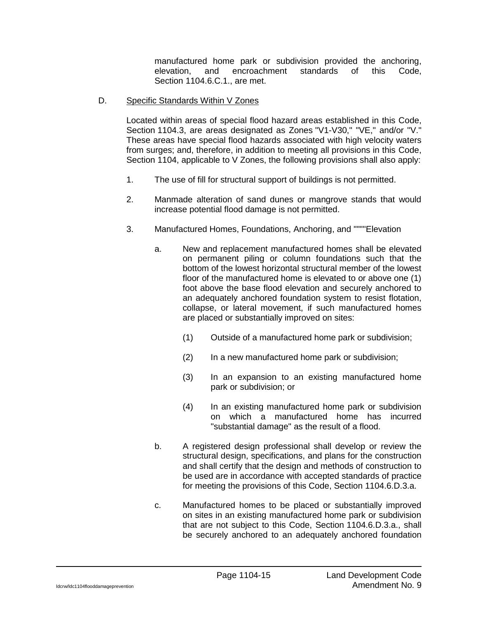manufactured home park or subdivision provided the anchoring, elevation, and encroachment standards of this Code, Section 1104.6.C.1., are met.

D. Specific Standards Within V Zones

Located within areas of special flood hazard areas established in this Code, Section 1104.3, are areas designated as Zones "V1-V30," "VE," and/or "V." These areas have special flood hazards associated with high velocity waters from surges; and, therefore, in addition to meeting all provisions in this Code, Section 1104, applicable to V Zones, the following provisions shall also apply:

- 1. The use of fill for structural support of buildings is not permitted.
- 2. Manmade alteration of sand dunes or mangrove stands that would increase potential flood damage is not permitted.
- 3. Manufactured Homes, Foundations, Anchoring, and """"Elevation
	- a. New and replacement manufactured homes shall be elevated on permanent piling or column foundations such that the bottom of the lowest horizontal structural member of the lowest floor of the manufactured home is elevated to or above one (1) foot above the base flood elevation and securely anchored to an adequately anchored foundation system to resist flotation, collapse, or lateral movement, if such manufactured homes are placed or substantially improved on sites:
		- (1) Outside of a manufactured home park or subdivision;
		- (2) In a new manufactured home park or subdivision;
		- (3) In an expansion to an existing manufactured home park or subdivision; or
		- (4) In an existing manufactured home park or subdivision on which a manufactured home has incurred "substantial damage" as the result of a flood.
	- b. A registered design professional shall develop or review the structural design, specifications, and plans for the construction and shall certify that the design and methods of construction to be used are in accordance with accepted standards of practice for meeting the provisions of this Code, Section 1104.6.D.3.a.
	- c. Manufactured homes to be placed or substantially improved on sites in an existing manufactured home park or subdivision that are not subject to this Code, Section 1104.6.D.3.a., shall be securely anchored to an adequately anchored foundation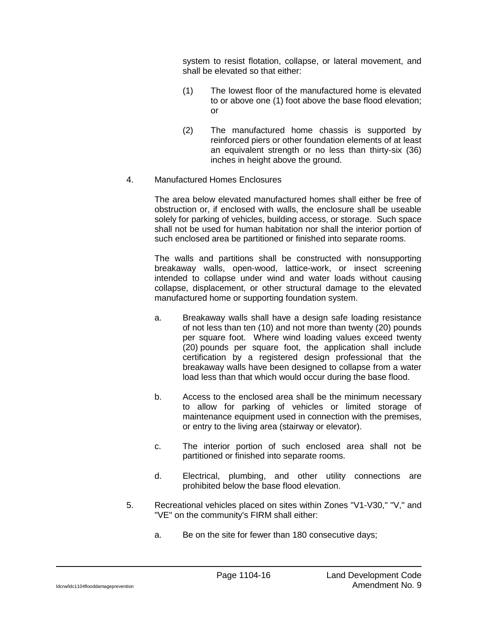system to resist flotation, collapse, or lateral movement, and shall be elevated so that either:

- (1) The lowest floor of the manufactured home is elevated to or above one (1) foot above the base flood elevation; or
- (2) The manufactured home chassis is supported by reinforced piers or other foundation elements of at least an equivalent strength or no less than thirty-six (36) inches in height above the ground.
- 4. Manufactured Homes Enclosures

The area below elevated manufactured homes shall either be free of obstruction or, if enclosed with walls, the enclosure shall be useable solely for parking of vehicles, building access, or storage. Such space shall not be used for human habitation nor shall the interior portion of such enclosed area be partitioned or finished into separate rooms.

The walls and partitions shall be constructed with nonsupporting breakaway walls, open-wood, lattice-work, or insect screening intended to collapse under wind and water loads without causing collapse, displacement, or other structural damage to the elevated manufactured home or supporting foundation system.

- a. Breakaway walls shall have a design safe loading resistance of not less than ten (10) and not more than twenty (20) pounds per square foot. Where wind loading values exceed twenty (20) pounds per square foot, the application shall include certification by a registered design professional that the breakaway walls have been designed to collapse from a water load less than that which would occur during the base flood.
- b. Access to the enclosed area shall be the minimum necessary to allow for parking of vehicles or limited storage of maintenance equipment used in connection with the premises, or entry to the living area (stairway or elevator).
- c. The interior portion of such enclosed area shall not be partitioned or finished into separate rooms.
- d. Electrical, plumbing, and other utility connections are prohibited below the base flood elevation.
- 5. Recreational vehicles placed on sites within Zones "V1-V30," "V," and "VE" on the community's FIRM shall either:
	- a. Be on the site for fewer than 180 consecutive days;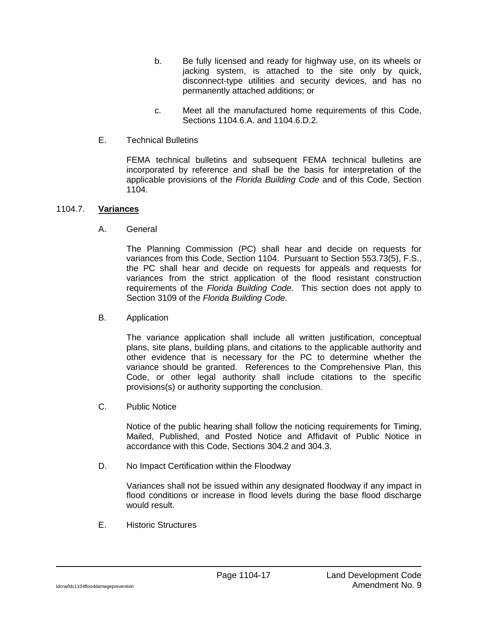- b. Be fully licensed and ready for highway use, on its wheels or jacking system, is attached to the site only by quick, disconnect-type utilities and security devices, and has no permanently attached additions; or
- c. Meet all the manufactured home requirements of this Code, Sections 1104.6.A. and 1104.6.D.2.
- E. Technical Bulletins

FEMA technical bulletins and subsequent FEMA technical bulletins are incorporated by reference and shall be the basis for interpretation of the applicable provisions of the *Florida Building Code* and of this Code, Section 1104.

## 1104.7. **Variances**

A. General

The Planning Commission (PC) shall hear and decide on requests for variances from this Code, Section 1104. Pursuant to Section 553.73(5), F.S., the PC shall hear and decide on requests for appeals and requests for variances from the strict application of the flood resistant construction requirements of the *Florida Building Code*. This section does not apply to Section 3109 of the *Florida Building Code*.

B. Application

The variance application shall include all written justification, conceptual plans, site plans, building plans, and citations to the applicable authority and other evidence that is necessary for the PC to determine whether the variance should be granted. References to the Comprehensive Plan, this Code, or other legal authority shall include citations to the specific provisions(s) or authority supporting the conclusion.

C. Public Notice

Notice of the public hearing shall follow the noticing requirements for Timing, Mailed, Published, and Posted Notice and Affidavit of Public Notice in accordance with this Code, Sections 304.2 and 304.3.

D. No Impact Certification within the Floodway

Variances shall not be issued within any designated floodway if any impact in flood conditions or increase in flood levels during the base flood discharge would result.

E. Historic Structures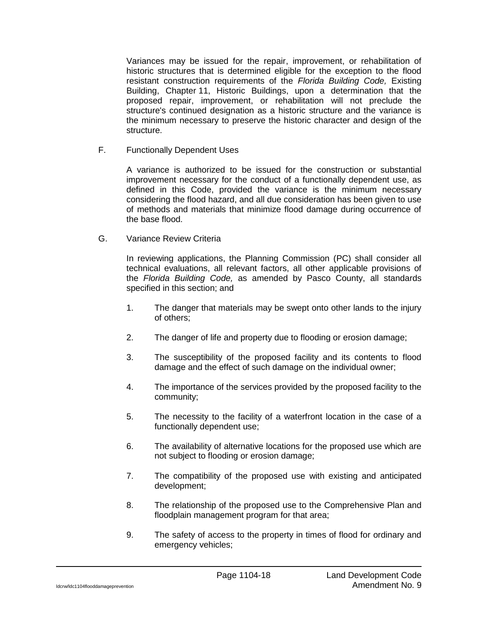Variances may be issued for the repair, improvement, or rehabilitation of historic structures that is determined eligible for the exception to the flood resistant construction requirements of the *Florida Building Code,* Existing Building, Chapter 11, Historic Buildings, upon a determination that the proposed repair, improvement, or rehabilitation will not preclude the structure's continued designation as a historic structure and the variance is the minimum necessary to preserve the historic character and design of the structure.

F. Functionally Dependent Uses

A variance is authorized to be issued for the construction or substantial improvement necessary for the conduct of a functionally dependent use, as defined in this Code, provided the variance is the minimum necessary considering the flood hazard, and all due consideration has been given to use of methods and materials that minimize flood damage during occurrence of the base flood.

G. Variance Review Criteria

In reviewing applications, the Planning Commission (PC) shall consider all technical evaluations, all relevant factors, all other applicable provisions of the *Florida Building Code,* as amended by Pasco County, all standards specified in this section; and

- 1. The danger that materials may be swept onto other lands to the injury of others;
- 2. The danger of life and property due to flooding or erosion damage;
- 3. The susceptibility of the proposed facility and its contents to flood damage and the effect of such damage on the individual owner;
- 4. The importance of the services provided by the proposed facility to the community;
- 5. The necessity to the facility of a waterfront location in the case of a functionally dependent use;
- 6. The availability of alternative locations for the proposed use which are not subject to flooding or erosion damage;
- 7. The compatibility of the proposed use with existing and anticipated development;
- 8. The relationship of the proposed use to the Comprehensive Plan and floodplain management program for that area;
- 9. The safety of access to the property in times of flood for ordinary and emergency vehicles;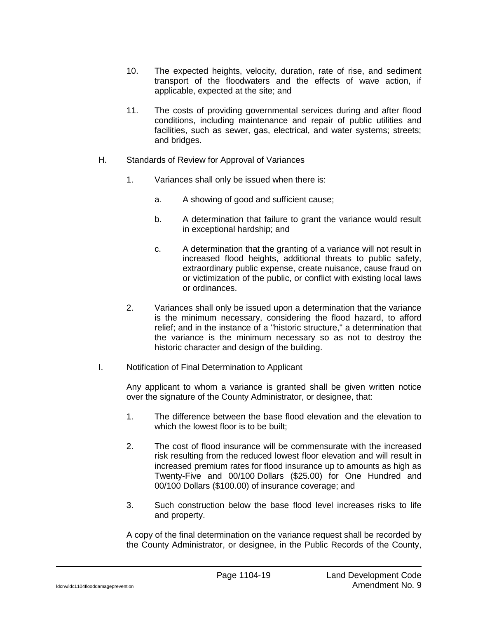- 10. The expected heights, velocity, duration, rate of rise, and sediment transport of the floodwaters and the effects of wave action, if applicable, expected at the site; and
- 11. The costs of providing governmental services during and after flood conditions, including maintenance and repair of public utilities and facilities, such as sewer, gas, electrical, and water systems; streets; and bridges.
- H. Standards of Review for Approval of Variances
	- 1. Variances shall only be issued when there is:
		- a. A showing of good and sufficient cause;
		- b. A determination that failure to grant the variance would result in exceptional hardship; and
		- c. A determination that the granting of a variance will not result in increased flood heights, additional threats to public safety, extraordinary public expense, create nuisance, cause fraud on or victimization of the public, or conflict with existing local laws or ordinances.
	- 2. Variances shall only be issued upon a determination that the variance is the minimum necessary, considering the flood hazard, to afford relief; and in the instance of a "historic structure," a determination that the variance is the minimum necessary so as not to destroy the historic character and design of the building.
- I. Notification of Final Determination to Applicant

Any applicant to whom a variance is granted shall be given written notice over the signature of the County Administrator, or designee, that:

- 1. The difference between the base flood elevation and the elevation to which the lowest floor is to be built;
- 2. The cost of flood insurance will be commensurate with the increased risk resulting from the reduced lowest floor elevation and will result in increased premium rates for flood insurance up to amounts as high as Twenty-Five and 00/100 Dollars (\$25.00) for One Hundred and 00/100 Dollars (\$100.00) of insurance coverage; and
- 3. Such construction below the base flood level increases risks to life and property.

A copy of the final determination on the variance request shall be recorded by the County Administrator, or designee, in the Public Records of the County,